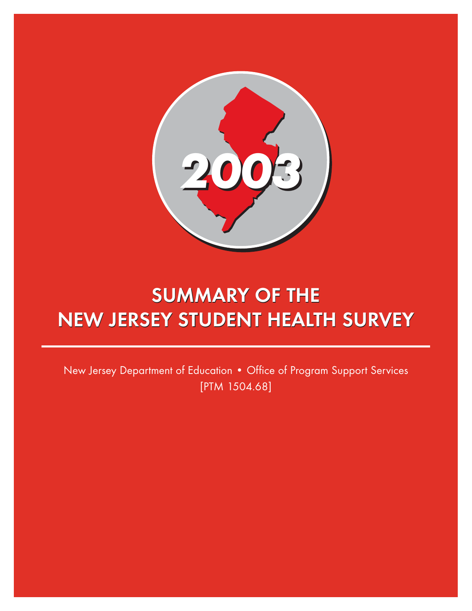

# **SUMMARY OF THE SUMMARY OF THE NEW JERSEY STUDENT HEALTH SURVEY NEW JERSEY STUDENT HEALTH SURVEY**

New Jersey Department of Education • Office of Program Support Services [PTM 1504.68]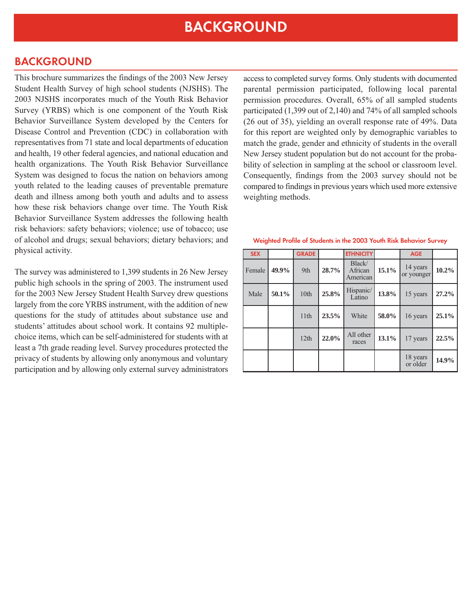# **BACKGROUND**

### **BACKGROUND**

This brochure summarizes the findings of the 2003 New Jersey Student Health Survey of high school students (NJSHS). The 2003 NJSHS incorporates much of the Youth Risk Behavior Survey (YRBS) which is one component of the Youth Risk Behavior Surveillance System developed by the Centers for Disease Control and Prevention (CDC) in collaboration with representatives from 71 state and local departments of education and health, 19 other federal agencies, and national education and health organizations. The Youth Risk Behavior Surveillance System was designed to focus the nation on behaviors among youth related to the leading causes of preventable premature death and illness among both youth and adults and to assess how these risk behaviors change over time. The Youth Risk Behavior Surveillance System addresses the following health risk behaviors: safety behaviors; violence; use of tobacco; use of alcohol and drugs; sexual behaviors; dietary behaviors; and physical activity.

The survey was administered to 1,399 students in 26 New Jersey public high schools in the spring of 2003. The instrument used for the 2003 New Jersey Student Health Survey drew questions largely from the core YRBS instrument, with the addition of new questions for the study of attitudes about substance use and students' attitudes about school work. It contains 92 multiplechoice items, which can be self-administered for students with at least a 7th grade reading level. Survey procedures protected the privacy of students by allowing only anonymous and voluntary participation and by allowing only external survey administrators access to completed survey forms. Only students with documented parental permission participated, following local parental permission procedures. Overall, 65% of all sampled students participated (1,399 out of 2,140) and 74% of all sampled schools (26 out of 35), yielding an overall response rate of 49%. Data for this report are weighted only by demographic variables to match the grade, gender and ethnicity of students in the overall New Jersey student population but do not account for the probability of selection in sampling at the school or classroom level. Consequently, findings from the 2003 survey should not be compared to findings in previous years which used more extensive weighting methods.

| <b>SEX</b> |       | <b>GRADE</b> |       | <b>ETHNICITY</b>              |       | <b>AGE</b>             |          |
|------------|-------|--------------|-------|-------------------------------|-------|------------------------|----------|
| Female     | 49.9% | 9th          | 28.7% | Black/<br>African<br>American | 15.1% | 14 years<br>or younger | $10.2\%$ |
| Male       | 50.1% | 10th         | 25.8% | Hispanic/<br>Latino           | 13.8% | 15 years               | 27.2%    |
|            |       | 11th         | 23.5% | White                         | 58.0% | 16 years               | 25.1%    |
|            |       | 12th         | 22.0% | All other<br>races            | 13.1% | 17 years               | 22.5%    |
|            |       |              |       |                               |       | 18 years<br>or older   | 14.9%    |

| Weighted Profile of Students in the 2003 Youth Risk Behavior Survey |  |  |  |
|---------------------------------------------------------------------|--|--|--|
|---------------------------------------------------------------------|--|--|--|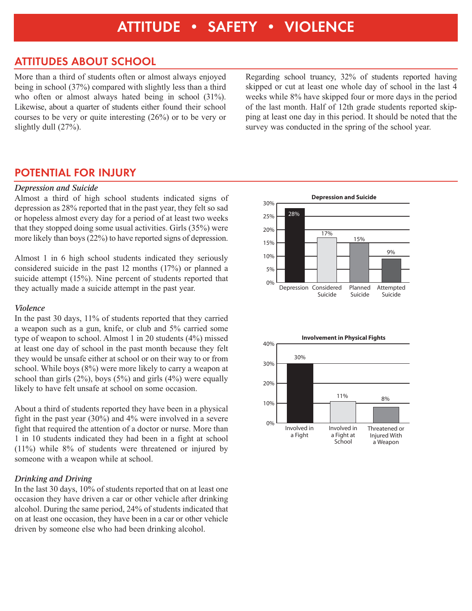## **ATTITUDES ABOUT SCHOOL**

More than a third of students often or almost always enjoyed being in school (37%) compared with slightly less than a third who often or almost always hated being in school  $(31\%)$ . Likewise, about a quarter of students either found their school courses to be very or quite interesting (26%) or to be very or slightly dull (27%).

Regarding school truancy, 32% of students reported having skipped or cut at least one whole day of school in the last 4 weeks while 8% have skipped four or more days in the period of the last month. Half of 12th grade students reported skipping at least one day in this period. It should be noted that the survey was conducted in the spring of the school year.

### **POTENTIAL FOR INJURY**

### *Depression and Suicide*

Almost a third of high school students indicated signs of depression as 28% reported that in the past year, they felt so sad or hopeless almost every day for a period of at least two weeks that they stopped doing some usual activities. Girls (35%) were more likely than boys (22%) to have reported signs of depression.

Almost 1 in 6 high school students indicated they seriously considered suicide in the past 12 months (17%) or planned a suicide attempt (15%). Nine percent of students reported that they actually made a suicide attempt in the past year.

#### *Violence*

In the past 30 days, 11% of students reported that they carried a weapon such as a gun, knife, or club and 5% carried some type of weapon to school. Almost 1 in 20 students (4%) missed at least one day of school in the past month because they felt they would be unsafe either at school or on their way to or from school. While boys (8%) were more likely to carry a weapon at school than girls  $(2\%)$ , boys  $(5\%)$  and girls  $(4\%)$  were equally likely to have felt unsafe at school on some occasion.

About a third of students reported they have been in a physical fight in the past year (30%) and 4% were involved in a severe fight that required the attention of a doctor or nurse. More than 1 in 10 students indicated they had been in a fight at school (11%) while 8% of students were threatened or injured by someone with a weapon while at school.

### *Drinking and Driving*

In the last 30 days, 10% of students reported that on at least one occasion they have driven a car or other vehicle after drinking alcohol. During the same period, 24% of students indicated that on at least one occasion, they have been in a car or other vehicle driven by someone else who had been drinking alcohol.



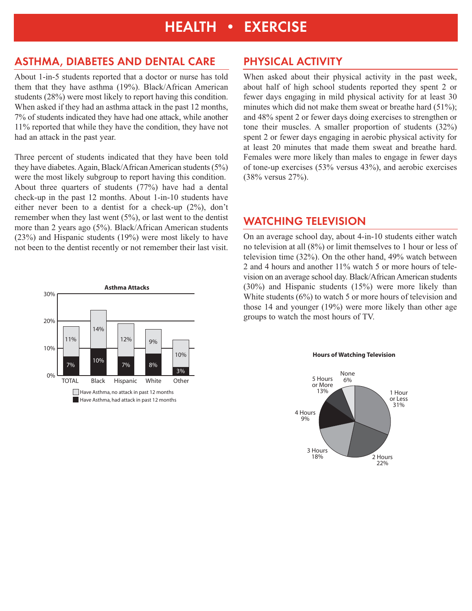# **HEALTH • EXERCISE**

# **ASTHMA, DIABETES AND DENTAL CARE**

About 1-in-5 students reported that a doctor or nurse has told them that they have asthma (19%). Black/African American students (28%) were most likely to report having this condition. When asked if they had an asthma attack in the past 12 months, 7% of students indicated they have had one attack, while another 11% reported that while they have the condition, they have not had an attack in the past year.

Three percent of students indicated that they have been told they have diabetes. Again, Black/African American students (5%) were the most likely subgroup to report having this condition. About three quarters of students (77%) have had a dental check-up in the past 12 months. About 1-in-10 students have either never been to a dentist for a check-up (2%), don't remember when they last went (5%), or last went to the dentist more than 2 years ago (5%). Black/African American students (23%) and Hispanic students (19%) were most likely to have not been to the dentist recently or not remember their last visit.



# **PHYSICAL ACTIVITY**

When asked about their physical activity in the past week, about half of high school students reported they spent 2 or fewer days engaging in mild physical activity for at least 30 minutes which did not make them sweat or breathe hard (51%); and 48% spent 2 or fewer days doing exercises to strengthen or tone their muscles. A smaller proportion of students (32%) spent 2 or fewer days engaging in aerobic physical activity for at least 20 minutes that made them sweat and breathe hard. Females were more likely than males to engage in fewer days of tone-up exercises (53% versus 43%), and aerobic exercises (38% versus 27%).

### **WATCHING TELEVISION**

On an average school day, about 4-in-10 students either watch no television at all (8%) or limit themselves to 1 hour or less of television time (32%). On the other hand, 49% watch between 2 and 4 hours and another 11% watch 5 or more hours of television on an average school day. Black/African American students (30%) and Hispanic students (15%) were more likely than White students (6%) to watch 5 or more hours of television and those 14 and younger (19%) were more likely than other age groups to watch the most hours of TV.

**Hours of Watching Television**

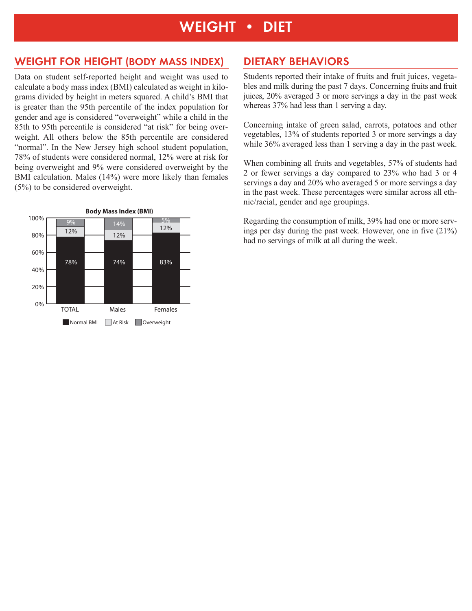# **WEIGHT • DIET**

### **WEIGHT FOR HEIGHT (BODY MASS INDEX)**

Data on student self-reported height and weight was used to calculate a body mass index (BMI) calculated as weight in kilograms divided by height in meters squared. A child's BMI that is greater than the 95th percentile of the index population for gender and age is considered "overweight" while a child in the 85th to 95th percentile is considered "at risk" for being overweight. All others below the 85th percentile are considered "normal". In the New Jersey high school student population, 78% of students were considered normal, 12% were at risk for being overweight and 9% were considered overweight by the BMI calculation. Males (14%) were more likely than females (5%) to be considered overweight.



### **DIETARY BEHAVIORS**

Students reported their intake of fruits and fruit juices, vegetables and milk during the past 7 days. Concerning fruits and fruit juices, 20% averaged 3 or more servings a day in the past week whereas 37% had less than 1 serving a day.

Concerning intake of green salad, carrots, potatoes and other vegetables, 13% of students reported 3 or more servings a day while 36% averaged less than 1 serving a day in the past week.

When combining all fruits and vegetables, 57% of students had 2 or fewer servings a day compared to 23% who had 3 or 4 servings a day and 20% who averaged 5 or more servings a day in the past week. These percentages were similar across all ethnic/racial, gender and age groupings.

Regarding the consumption of milk, 39% had one or more servings per day during the past week. However, one in five (21%) had no servings of milk at all during the week.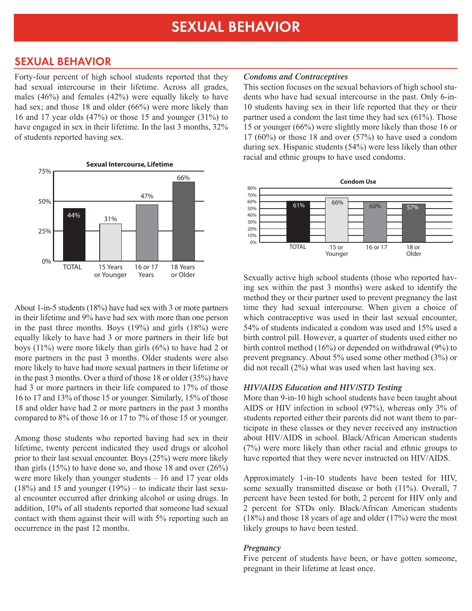### **SEXUAL BEHAVIOR**

Forty-four percent of high school students reported that they had sexual intercourse in their lifetime. Across all grades, males (46%) and females (42%) were equally likely to have had sex; and those 18 and older (66%) were more likely than 16 and 17 year olds (47%) or those 15 and younger (31%) to have engaged in sex in their lifetime. In the last 3 months, 32% of students reported having sex.



About 1-in-5 students (18%) have had sex with 3 or more partners in their lifetime and 9% have had sex with more than one person in the past three months. Boys (19%) and girls (18%) were equally likely to have had 3 or more partners in their life but boys (11%) were more likely than girls (6%) to have had 2 or more partners in the past 3 months. Older students were also more likely to have had more sexual partners in their lifetime or in the past 3 months. Over a third of those 18 or older (35%) have had 3 or more partners in their life compared to 17% of those 16 to 17 and 13% of those 15 or younger. Similarly, 15% of those 18 and older have had 2 or more partners in the past 3 months compared to 8% of those 16 or 17 to 7% of those 15 or younger.

Among those students who reported having had sex in their lifetime, twenty percent indicated they used drugs or alcohol prior to their last sexual encounter. Boys (25%) were more likely than girls  $(15\%)$  to have done so, and those 18 and over  $(26\%)$ were more likely than younger students – 16 and 17 year olds  $(18%)$  and 15 and younger  $(19%)$  – to indicate their last sexual encounter occurred after drinking alcohol or using drugs. In addition, 10% of all students reported that someone had sexual contact with them against their will with 5% reporting such an occurrence in the past 12 months.

#### *Condoms and Contraceptives*

This section focuses on the sexual behaviors of high school students who have had sexual intercourse in the past. Only 6-in-10 students having sex in their life reported that they or their partner used a condom the last time they had sex (61%). Those 15 or younger (66%) were slightly more likely than those 16 or  $17 (60\%)$  or those 18 and over  $(57\%)$  to have used a condom during sex. Hispanic students (54%) were less likely than other racial and ethnic groups to have used condoms.



Sexually active high school students (those who reported having sex within the past 3 months) were asked to identify the method they or their partner used to prevent pregnancy the last time they had sexual intercourse. When given a choice of which contraceptive was used in their last sexual encounter, 54% of students indicated a condom was used and 15% used a birth control pill. However, a quarter of students used either no birth control method (16%) or depended on withdrawal (9%) to prevent pregnancy. About 5% used some other method (3%) or did not recall (2%) what was used when last having sex.

#### *HIV/AIDS Education and HIV/STD Testing*

More than 9-in-10 high school students have been taught about AIDS or HIV infection in school (97%), whereas only 3% of students reported either their parents did not want them to participate in these classes or they never received any instruction about HIV/AIDS in school. Black/African American students (7%) were more likely than other racial and ethnic groups to have reported that they were never instructed on HIV/AIDS.

Approximately 1-in-10 students have been tested for HIV, some sexually transmitted disease or both (11%). Overall, 7 percent have been tested for both, 2 percent for HIV only and 2 percent for STDs only. Black/African American students (18%) and those 18 years of age and older (17%) were the most likely groups to have been tested.

### *Pregnancy*

Five percent of students have been, or have gotten someone, pregnant in their lifetime at least once.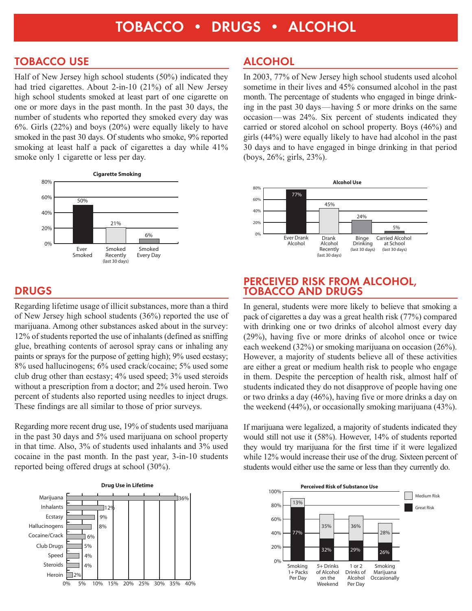### **TOBACCO USE**

Half of New Jersey high school students (50%) indicated they had tried cigarettes. About 2-in-10 (21%) of all New Jersey high school students smoked at least part of one cigarette on one or more days in the past month. In the past 30 days, the number of students who reported they smoked every day was 6%. Girls (22%) and boys (20%) were equally likely to have smoked in the past 30 days. Of students who smoke, 9% reported smoking at least half a pack of cigarettes a day while  $41\%$ smoke only 1 cigarette or less per day.



### **DRUGS**

Regarding lifetime usage of illicit substances, more than a third of New Jersey high school students (36%) reported the use of marijuana. Among other substances asked about in the survey: 12% of students reported the use of inhalants (defined as sniffing glue, breathing contents of aerosol spray cans or inhaling any paints or sprays for the purpose of getting high); 9% used ecstasy; 8% used hallucinogens; 6% used crack/cocaine; 5% used some club drug other than ecstasy; 4% used speed; 3% used steroids without a prescription from a doctor; and 2% used heroin. Two percent of students also reported using needles to inject drugs. These findings are all similar to those of prior surveys.

Regarding more recent drug use, 19% of students used marijuana in the past 30 days and 5% used marijuana on school property in that time. Also, 3% of students used inhalants and 3% used cocaine in the past month. In the past year, 3-in-10 students reported being offered drugs at school (30%).



### **ALCOHOL**

In 2003, 77% of New Jersey high school students used alcohol sometime in their lives and 45% consumed alcohol in the past month. The percentage of students who engaged in binge drinking in the past 30 days—having 5 or more drinks on the same occasion—was 24%. Six percent of students indicated they carried or stored alcohol on school property. Boys (46%) and girls (44%) were equally likely to have had alcohol in the past 30 days and to have engaged in binge drinking in that period (boys, 26%; girls, 23%).



### **PERCEIVED RISK FROM ALCOHOL, TOBACCO AND DRUGS**

In general, students were more likely to believe that smoking a pack of cigarettes a day was a great health risk (77%) compared with drinking one or two drinks of alcohol almost every day (29%), having five or more drinks of alcohol once or twice each weekend (32%) or smoking marijuana on occasion (26%). However, a majority of students believe all of these activities are either a great or medium health risk to people who engage in them. Despite the perception of health risk, almost half of students indicated they do not disapprove of people having one or two drinks a day (46%), having five or more drinks a day on the weekend (44%), or occasionally smoking marijuana (43%).

If marijuana were legalized, a majority of students indicated they would still not use it (58%). However, 14% of students reported they would try marijuana for the first time if it were legalized while 12% would increase their use of the drug. Sixteen percent of students would either use the same or less than they currently do.